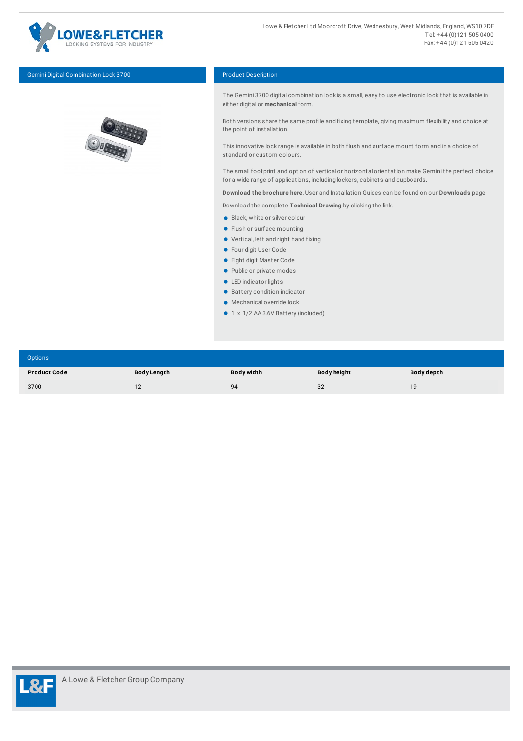

Gemini Digital Combination Lock 3700 Product Description



The Gemini 3700 digital combination lock is a small, easy to use electronic lock that is available in either digital or **mechanical** form.

Both versions share the same profile and fixing template, giving maximum flexibility and choice at the point of installation.

This innovative lock range is available in both flush and surface mount form and in a choice of standard or custom colours.

The small footprint and option of vertical or horizontal orientation make Gemini the perfect choice for a wide range of applications, including lockers, cabinets and cupboards.

**Download the brochure here**. User and Installation Guides can be found on our **Downloads** page.

Download the complete **Technical Drawing** by clicking the link.

- **Black, white or silver colour**
- **•** Flush or surface mounting
- Vertical, left and right hand fixing
- **Four digit User Code**
- **Eight digit Master Code**
- Public or private modes
- **C** LED indicator lights
- Battery condition indicator
- Mechanical override lock
- 1 x 1/2 AA 3.6V Battery (included)

| Options             |             |            |                    |            |
|---------------------|-------------|------------|--------------------|------------|
| <b>Product Code</b> | Body Length | Body width | <b>Body height</b> | Body depth |
| 3700                | 12          | 94         | 32                 | 19         |